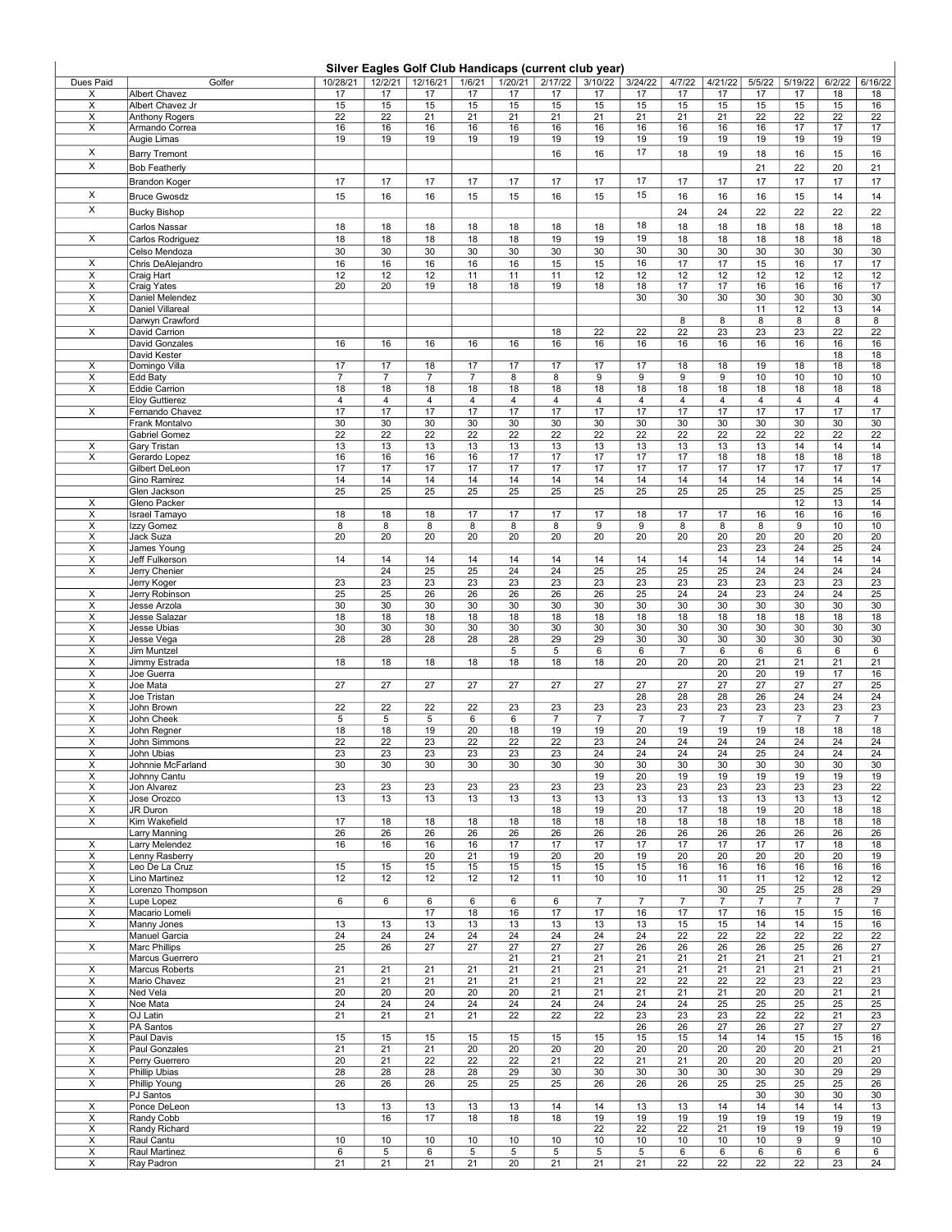## Silver Eagles Golf Club Handicaps (current club year)

| Silver Eagles Golf Club Handicaps (current club year) |                                             |                      |                      |                 |                      |                 |                 |                       |                       |                |                 |                 |                       |                 |                |
|-------------------------------------------------------|---------------------------------------------|----------------------|----------------------|-----------------|----------------------|-----------------|-----------------|-----------------------|-----------------------|----------------|-----------------|-----------------|-----------------------|-----------------|----------------|
| Dues Paid                                             | Golfer                                      | 10/28/21             | 12/2/21              | 12/16/21        | 1/6/21               | 1/20/21         | 2/17/22         | 3/10/22               | 3/24/22               | 4/7/22         | 4/21/22         | 5/5/22          | 5/19/22               | 6/2/22          | 6/16/22        |
| X                                                     | <b>Albert Chavez</b>                        | 17                   | 17                   | 17              | 17                   | 17              | 17              | 17                    | 17                    | 17             | 17              | 17              | 17                    | 18              | 18             |
| Χ                                                     | Albert Chavez Jr                            | 15                   | 15                   | 15              | 15                   | 15              | 15              | 15                    | 15                    | 15             | 15              | 15              | 15                    | 15              | 16             |
| X                                                     | <b>Anthony Rogers</b>                       | 22                   | 22                   | 21              | 21                   | 21              | 21              | 21                    | 21                    | 21             | 21              | 22              | 22                    | 22              | 22             |
| X                                                     | Armando Correa                              | 16<br>19             | 16<br>19             | 16<br>19        | 16<br>19             | 16<br>19        | 16<br>19        | 16<br>19              | 16                    | 16<br>19       | 16<br>19        | 16              | 17<br>19              | 17              | 17             |
| X                                                     | Augie Limas                                 |                      |                      |                 |                      |                 |                 |                       | 19<br>17              |                |                 | 19              |                       | 19              | 19             |
| X                                                     | <b>Barry Tremont</b>                        |                      |                      |                 |                      |                 | 16              | 16                    |                       | 18             | 19              | 18              | 16                    | 15              | 16             |
|                                                       | <b>Bob Featherly</b>                        |                      |                      |                 |                      |                 |                 |                       |                       |                |                 | 21              | 22                    | 20              | 21             |
|                                                       | <b>Brandon Koger</b>                        | 17                   | 17                   | 17              | 17                   | 17              | 17              | 17                    | 17                    | 17             | 17              | 17              | 17                    | 17              | 17             |
| X                                                     | <b>Bruce Gwosdz</b>                         | 15                   | 16                   | 16              | 15                   | 15              | 16              | 15                    | 15                    | 16             | 16              | 16              | 15                    | 14              | 14             |
| X                                                     | <b>Bucky Bishop</b>                         |                      |                      |                 |                      |                 |                 |                       |                       | 24             | 24              | 22              | 22                    | 22              | 22             |
|                                                       | Carlos Nassar                               | 18                   | 18                   | 18              | 18                   | 18              | 18              | 18                    | 18                    | 18             | 18              | 18              | 18                    | 18              | 18             |
| X                                                     | Carlos Rodriguez                            | 18                   | 18                   | 18              | 18                   | 18              | 19              | 19                    | 19                    | 18             | 18              | 18              | 18                    | 18              | 18             |
|                                                       | Celso Mendoza                               | 30                   | 30                   | 30              | 30                   | 30              | 30              | 30                    | 30                    | 30             | 30              | 30              | 30                    | 30              | 30             |
| X                                                     | Chris DeAlejandro                           | 16                   | 16                   | 16              | 16                   | 16              | 15              | 15                    | 16                    | 17             | 17              | 15              | 16                    | 17              | 17             |
| X                                                     | Craig Hart                                  | 12                   | 12                   | 12              | 11                   | 11              | 11              | 12                    | 12                    | 12             | 12              | 12              | 12                    | 12              | 12             |
| X<br>х                                                | <b>Craig Yates</b><br>Daniel Melendez       | 20                   | 20                   | 19              | 18                   | 18              | 19              | 18                    | 18<br>30              | 17<br>30       | 17<br>30        | 16<br>30        | 16<br>30              | 16<br>30        | 17<br>30       |
| X                                                     | Daniel Villareal                            |                      |                      |                 |                      |                 |                 |                       |                       |                |                 | 11              | 12                    | 13              | 14             |
|                                                       | Darwyn Crawford                             |                      |                      |                 |                      |                 |                 |                       |                       | 8              | 8               | 8               | 8                     | 8               | 8              |
| $\overline{\mathsf{x}}$                               | David Carrion                               |                      |                      |                 |                      |                 | 18              | 22                    | 22                    | 22             | 23              | 23              | 23                    | $\overline{22}$ | 22             |
|                                                       | <b>David Gonzales</b>                       | 16                   | 16                   | 16              | 16                   | 16              | 16              | 16                    | 16                    | 16             | 16              | 16              | 16                    | 16              | 16             |
|                                                       | David Kester                                |                      |                      |                 |                      |                 |                 |                       |                       |                |                 |                 |                       | 18              | 18             |
| X<br>X                                                | Domingo Villa<br>Edd Baty                   | 17<br>$\overline{7}$ | 17<br>$\overline{7}$ | 18<br>7         | 17<br>$\overline{7}$ | 17<br>8         | 17<br>8         | 17<br>9               | 17<br>9               | 18<br>9        | 18<br>9         | 19<br>10        | 18<br>10              | 18<br>10        | 18<br>$10$     |
| X                                                     | Eddie Carrion                               | 18                   | 18                   | 18              | 18                   | 18              | 18              | 18                    | 18                    | 18             | 18              | 18              | 18                    | 18              | 18             |
|                                                       | <b>Eloy Guttierez</b>                       | 4                    | 4                    | 4               | 4                    | $\overline{4}$  | 4               | 4                     | $\overline{4}$        | 4              | 4               | 4               | $\overline{4}$        | 4               | 4              |
| X                                                     | Fernando Chavez                             | 17                   | 17                   | 17              | 17                   | 17              | 17              | 17                    | 17                    | 17             | 17              | 17              | 17                    | 17              | 17             |
|                                                       | Frank Montalvo                              | 30                   | 30                   | 30              | 30                   | 30              | 30              | 30                    | 30                    | 30             | 30              | 30              | 30                    | 30              | 30             |
| X                                                     | <b>Gabriel Gomez</b><br><b>Gary Tristan</b> | 22<br>13             | 22<br>13             | 22<br>13        | 22<br>13             | 22<br>13        | 22<br>13        | 22<br>13              | 22<br>13              | 22<br>13       | 22<br>13        | 22<br>13        | 22<br>14              | 22<br>14        | 22<br>14       |
| X                                                     | Gerardo Lopez                               | 16                   | 16                   | 16              | 16                   | 17              | 17              | 17                    | 17                    | 17             | 18              | 18              | 18                    | 18              | 18             |
|                                                       | Gilbert DeLeon                              | 17                   | 17                   | 17              | 17                   | 17              | 17              | 17                    | 17                    | 17             | 17              | 17              | 17                    | 17              | 17             |
|                                                       | Gino Ramirez                                | 14                   | 14                   | 14              | 14                   | 14              | 14              | 14                    | 14                    | 14             | 14              | 14              | 14                    | 14              | 14             |
|                                                       | Glen Jackson                                | $\overline{25}$      | 25                   | $\overline{25}$ | $\overline{25}$      | 25              | 25              | 25                    | 25                    | 25             | 25              | $\overline{25}$ | 25                    | 25              | 25             |
| х                                                     | Gleno Packer                                |                      | 18                   |                 |                      | 17              | 17              | 17                    | 18                    | 17             | 17              |                 | 12                    | 13              | 14             |
| $\overline{\mathsf{x}}$<br>$\overline{\mathsf{x}}$    | Israel Tamayo<br>Izzy Gomez                 | 18<br>8              | 8                    | 18<br>8         | 17<br>8              | 8               | $\bf 8$         | 9                     | $\overline{9}$        | 8              | 8               | 16<br>8         | 16<br>$\overline{9}$  | 16<br>10        | 16<br>10       |
| Χ                                                     | Jack Suza                                   | 20                   | 20                   | 20              | 20                   | 20              | 20              | 20                    | $\overline{20}$       | 20             | $\overline{20}$ | 20              | 20                    | 20              | 20             |
| X                                                     | James Young                                 |                      |                      |                 |                      |                 |                 |                       |                       |                | 23              | 23              | 24                    | 25              | 24             |
| X                                                     | Jeff Fulkerson                              | 14                   | 14                   | 14              | 14                   | 14              | 14              | 14                    | 14                    | 14             | 14              | 14              | 14                    | 14              | 14             |
| X                                                     | Jerry Chenier                               |                      | 24                   | 25              | 25                   | 24              | 24              | 25                    | 25                    | 25             | 25              | 24              | 24                    | 24              | 24             |
|                                                       | Jerry Koger                                 | 23                   | 23                   | 23              | 23                   | 23              | 23              | 23<br>$\overline{26}$ | 23<br>$\overline{25}$ | 23             | 23              | 23              | 23                    | 23              | 23             |
| X<br>X                                                | Jerry Robinson<br>Jesse Arzola              | 25<br>30             | 25<br>30             | 26<br>30        | 26<br>30             | 26<br>30        | 26<br>30        | 30                    | 30                    | 24<br>30       | 24<br>30        | 23<br>30        | 24<br>30              | 24<br>30        | 25<br>30       |
| X                                                     | Jesse Salazar                               | 18                   | 18                   | 18              | 18                   | 18              | 18              | 18                    | 18                    | 18             | 18              | 18              | 18                    | 18              | 18             |
| X                                                     | Jesse Ubias                                 | 30                   | 30                   | 30              | 30                   | 30              | 30              | 30                    | 30                    | 30             | 30              | 30              | 30                    | 30              | 30             |
| Χ                                                     | Jesse Vega                                  | 28                   | 28                   | 28              | 28                   | 28              | 29              | 29                    | 30                    | 30             | 30              | 30              | 30                    | 30              | 30             |
| Χ                                                     | Jim Muntzel                                 |                      |                      |                 |                      | 5               | 5               | 6                     | 6                     | $\overline{7}$ | 6               | 6               | 6                     | 6               | 6              |
| X                                                     | Jimmy Estrada                               | 18                   | 18                   | 18              | 18                   | 18              | 18              | 18                    | 20                    | 20             | 20              | 21              | 21                    | 21              | 21             |
| X<br>х                                                | Joe Guerra<br>Joe Mata                      | 27                   | 27                   | 27              | $\overline{27}$      | 27              | $\overline{27}$ | 27                    | $\overline{27}$       | 27             | 20<br>27        | 20<br>27        | 19<br>$\overline{27}$ | 17<br>27        | 16<br>25       |
| X                                                     | Joe Tristan                                 |                      |                      |                 |                      |                 |                 |                       | 28                    | 28             | 28              | 26              | 24                    | 24              | 24             |
| х                                                     | John Brown                                  | 22                   | 22                   | 22              | 22                   | 23              | 23              | 23                    | 23                    | 23             | 23              | 23              | 23                    | 23              | 23             |
| X                                                     | John Cheek                                  | 5                    | 5                    | 5               | 6                    | 6               | $\overline{7}$  | $\overline{7}$        | $\overline{7}$        | $\overline{7}$ | $\overline{7}$  | $\overline{7}$  | $\overline{7}$        | $\overline{7}$  | $\overline{7}$ |
| Χ                                                     | John Regner<br>John Simmons                 | 18<br>22             | 18<br>22             | 19<br>23        | 20<br>22             | 18<br>22        | 19<br>22        | 19<br>23              | $\overline{20}$       | 19<br>24       | 19<br>24        | 19<br>24        | 18<br>24              | 18<br>24        | 18<br>24       |
| Χ<br>Χ                                                | John Ubias                                  | 23                   | 23                   | 23              | 23                   | 23              | 23              | 24                    | 24<br>24              | 24             | 24              | 25              | 24                    | 24              | 24             |
| Х                                                     | Johnnie McFarland                           | 30                   | 30                   | 30              | 30                   | 30              | 30              | 30                    | 30                    | 30             | 30              | 30              | 30                    | 30              | 30             |
| х                                                     | Johnny Cantu                                |                      |                      |                 |                      |                 |                 | 19                    | 20                    | 19             | 19              | 19              | 19                    | 19              | 19             |
| X                                                     | Jon Alvarez                                 | 23                   | 23                   | 23              | 23                   | 23              | 23              | 23                    | 23                    | 23             | 23              | 23              | 23                    | 23              | 22             |
| $\overline{x}$<br>X                                   | Jose Orozco<br>JR Duron                     | 13                   | 13                   | 13              | 13                   | 13              | 13<br>18        | 13<br>19              | 13<br>20              | 13<br>17       | 13<br>18        | 13<br>19        | 13<br>20              | 13<br>18        | 12<br>18       |
| X                                                     | Kim Wakefield                               | 17                   | 18                   | 18              | 18                   | 18              | 18              | 18                    | 18                    | 18             | 18              | 18              | 18                    | 18              | 18             |
|                                                       | Larry Manning                               | 26                   | 26                   | 26              | 26                   | 26              | 26              | 26                    | 26                    | 26             | 26              | 26              | 26                    | 26              | 26             |
| X                                                     | Larry Melendez                              | 16                   | 16                   | 16              | 16                   | 17              | 17              | 17                    | 17                    | 17             | 17              | 17              | 17                    | 18              | 18             |
| X                                                     | Lenny Rasberry                              |                      |                      | 20              | 21                   | 19              | 20              | 20                    | 19                    | 20             | 20              | 20              | 20                    | 20              | 19             |
| х                                                     | Leo De La Cruz<br>Lino Martinez             | 15<br>12             | 15<br>12             | 15              | 15                   | 15              | 15              | 15<br>10              | 15<br>10              | 16<br>11       | 16              | 16<br>11        | 16<br>12              | 16              | 16<br>12       |
| X<br>X                                                | Lorenzo Thompson                            |                      |                      | 12              | 12                   | 12              | 11              |                       |                       |                | 11<br>30        | 25              | 25                    | 12<br>28        | 29             |
| $\overline{\mathsf{x}}$                               | Lupe Lopez                                  | $6\overline{6}$      | 6                    | 6               | 6                    | 6               | 6               | $\overline{7}$        | $\overline{7}$        | $\overline{7}$ | $\overline{7}$  | $\overline{7}$  | $\overline{7}$        | $\overline{7}$  | $\overline{7}$ |
| X                                                     | Macario Lomeli                              |                      |                      | 17              | 18                   | 16              | 17              | 17                    | 16                    | 17             | 17              | 16              | 15                    | 15              | 16             |
| X                                                     | Manny Jones                                 | 13                   | 13                   | 13              | 13                   | 13              | 13              | 13                    | 13                    | 15             | 15              | 14              | 14                    | 15              | 16             |
|                                                       | Manuel Garcia                               | 24                   | 24                   | 24              | 24                   | 24              | 24              | 24                    | 24                    | 22             | 22              | 22              | 22                    | 22              | 22             |
| X                                                     | <b>Marc Phillips</b><br>Marcus Guerrero     | 25                   | 26                   | 27              | 27                   | 27<br>21        | 27<br>21        | 27<br>21              | 26<br>21              | 26<br>21       | 26<br>21        | 26<br>21        | 25<br>21              | 26<br>21        | 27<br>21       |
| Х                                                     | Marcus Roberts                              | 21                   | 21                   | 21              | 21                   | 21              | 21              | 21                    | 21                    | 21             | 21              | 21              | 21                    | 21              | 21             |
| X                                                     | Mario Chavez                                | 21                   | 21                   | 21              | 21                   | 21              | 21              | 21                    | 22                    | 22             | 22              | 22              | 23                    | 22              | 23             |
| X                                                     | Ned Vela                                    | 20                   | 20                   | 20              | 20                   | 20              | 21              | 21                    | 21                    | 21             | 21              | 20              | 20                    | 21              | 21             |
| X                                                     | Noe Mata                                    | 24                   | 24                   | 24              | 24                   | 24              | 24              | 24                    | 24                    | 24             | 25              | 25              | 25                    | 25              | 25             |
| X                                                     | OJ Latin                                    | 21                   | 21                   | 21              | 21                   | 22              | 22              | 22                    | 23                    | 23             | 23              | 22              | 22                    | 21              | 23             |
| X<br>х                                                | PA Santos<br>Paul Davis                     | 15                   | 15                   | 15              | 15                   | 15              | 15              | 15                    | 26<br>15              | 26<br>15       | 27<br>14        | 26<br>14        | 27<br>15              | 27<br>15        | 27<br>16       |
| X                                                     | Paul Gonzales                               | 21                   | 21                   | 21              | 20                   | 20              | 20              | 20                    | 20                    | 20             | 20              | 20              | 20                    | 21              | 21             |
| X                                                     | Perry Guerrero                              | $\overline{20}$      | $\overline{21}$      | $\overline{22}$ | 22                   | $\overline{22}$ | $\overline{21}$ | $\overline{22}$       | 21                    | 21             | 20              | 20              | 20                    | 20              | 20             |
| X                                                     | Phillip Ubias                               | 28                   | 28                   | 28              | 28                   | 29              | 30              | 30                    | 30                    | 30             | 30              | 30              | 30                    | 29              | 29             |
| X                                                     | Phillip Young                               | 26                   | 26                   | 26              | 25                   | 25              | 25              | 26                    | 26                    | 26             | 25              | 25              | 25                    | 25              | 26             |
|                                                       | PJ Santos                                   |                      |                      |                 |                      |                 |                 |                       |                       |                |                 | 30              | 30                    | 30              | 30             |
| $\overline{\mathsf{x}}$                               | Ponce DeLeon                                | 13                   | 13                   | 13              | 13                   | 13              | 14              | 14                    | 13                    | 13             | 14              | 14              | 14                    | 14              | 13             |
| X<br>X                                                | Randy Cobb<br>Randy Richard                 |                      | 16                   | 17              | 18                   | 18              | 18              | 19<br>22              | 19<br>22              | 19<br>22       | 19<br>21        | 19<br>19        | 19<br>19              | 19<br>19        | 19<br>19       |
| X                                                     | Raul Cantu                                  | 10                   | 10                   | 10              | 10                   | 10              | 10              | 10                    | 10                    | 10             | 10              | 10              | 9                     | 9               | 10             |
| х                                                     | Raul Martinez                               | 6                    | 5                    | 6               | 5                    | 5               | 5               | 5                     | 5                     | 6              | 6               | 6               | $6\overline{}$        | 6               | 6              |
| $\overline{\mathsf{x}}$                               | Ray Padron                                  | 21                   | 21                   | 21              | 21                   | 20              | 21              | 21                    | 21                    | 22             | 22              | 22              | 22                    | 23              | 24             |